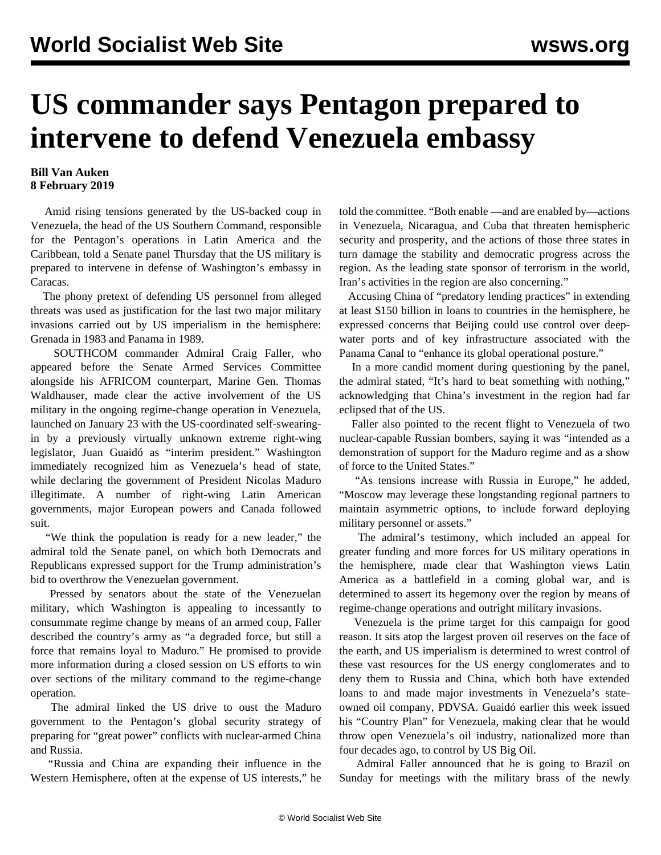## **US commander says Pentagon prepared to intervene to defend Venezuela embassy**

## **Bill Van Auken 8 February 2019**

 Amid rising tensions generated by the US-backed coup in Venezuela, the head of the US Southern Command, responsible for the Pentagon's operations in Latin America and the Caribbean, told a Senate panel Thursday that the US military is prepared to intervene in defense of Washington's embassy in Caracas.

 The phony pretext of defending US personnel from alleged threats was used as justification for the last two major military invasions carried out by US imperialism in the hemisphere: Grenada in 1983 and Panama in 1989.

 SOUTHCOM commander Admiral Craig Faller, who appeared before the Senate Armed Services Committee alongside his AFRICOM counterpart, Marine Gen. Thomas Waldhauser, made clear the active involvement of the US military in the ongoing regime-change operation in Venezuela, launched on January 23 with the US-coordinated self-swearingin by a previously virtually unknown extreme right-wing legislator, Juan Guaidó as "interim president." Washington immediately recognized him as Venezuela's head of state, while declaring the government of President Nicolas Maduro illegitimate. A number of right-wing Latin American governments, major European powers and Canada followed suit.

 "We think the population is ready for a new leader," the admiral told the Senate panel, on which both Democrats and Republicans expressed support for the Trump administration's bid to overthrow the Venezuelan government.

 Pressed by senators about the state of the Venezuelan military, which Washington is appealing to incessantly to consummate regime change by means of an armed coup, Faller described the country's army as "a degraded force, but still a force that remains loyal to Maduro." He promised to provide more information during a closed session on US efforts to win over sections of the military command to the regime-change operation.

 The admiral linked the US drive to oust the Maduro government to the Pentagon's global security strategy of preparing for "great power" conflicts with nuclear-armed China and Russia.

 "Russia and China are expanding their influence in the Western Hemisphere, often at the expense of US interests," he told the committee. "Both enable —and are enabled by—actions in Venezuela, Nicaragua, and Cuba that threaten hemispheric security and prosperity, and the actions of those three states in turn damage the stability and democratic progress across the region. As the leading state sponsor of terrorism in the world, Iran's activities in the region are also concerning."

 Accusing China of "predatory lending practices" in extending at least \$150 billion in loans to countries in the hemisphere, he expressed concerns that Beijing could use control over deepwater ports and of key infrastructure associated with the Panama Canal to "enhance its global operational posture."

 In a more candid moment during questioning by the panel, the admiral stated, "It's hard to beat something with nothing," acknowledging that China's investment in the region had far eclipsed that of the US.

 Faller also pointed to the recent flight to Venezuela of two nuclear-capable Russian bombers, saying it was "intended as a demonstration of support for the Maduro regime and as a show of force to the United States."

 "As tensions increase with Russia in Europe," he added, "Moscow may leverage these longstanding regional partners to maintain asymmetric options, to include forward deploying military personnel or assets."

 The admiral's testimony, which included an appeal for greater funding and more forces for US military operations in the hemisphere, made clear that Washington views Latin America as a battlefield in a coming global war, and is determined to assert its hegemony over the region by means of regime-change operations and outright military invasions.

 Venezuela is the prime target for this campaign for good reason. It sits atop the largest proven oil reserves on the face of the earth, and US imperialism is determined to wrest control of these vast resources for the US energy conglomerates and to deny them to Russia and China, which both have extended loans to and made major investments in Venezuela's stateowned oil company, PDVSA. Guaidó earlier this week issued his "Country Plan" for Venezuela, making clear that he would throw open Venezuela's oil industry, nationalized more than four decades ago, to control by US Big Oil.

 Admiral Faller announced that he is going to Brazil on Sunday for meetings with the military brass of the newly